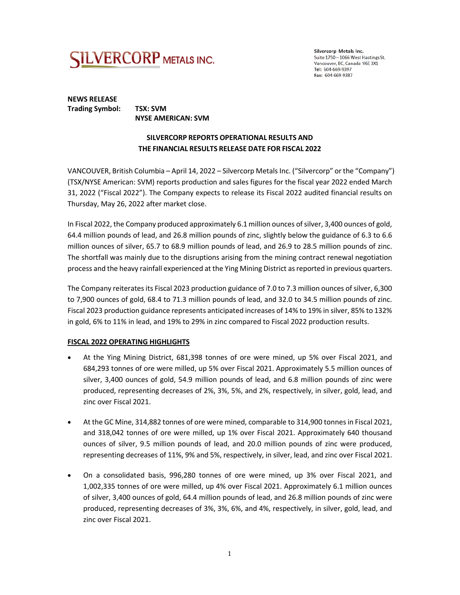

Silvercorp Metals Inc. Suite 1750 - 1066 West Hastings St. Vancouver, BC, Canada V6E 3X1 Tel: 604-669-9397 Fax: 604-669-9387

**NEWS RELEASE Trading Symbol: TSX: SVM**

 **NYSE AMERICAN: SVM**

# **SILVERCORP REPORTS OPERATIONAL RESULTS AND THE FINANCIAL RESULTS RELEASE DATE FOR FISCAL 2022**

VANCOUVER, British Columbia – April 14, 2022 – Silvercorp Metals Inc. ("Silvercorp" or the "Company") (TSX/NYSE American: SVM) reports production and sales figures for the fiscal year 2022 ended March 31, 2022 ("Fiscal 2022"). The Company expects to release its Fiscal 2022 audited financial results on Thursday, May 26, 2022 after market close.

In Fiscal 2022, the Company produced approximately 6.1 million ounces of silver, 3,400 ounces of gold, 64.4 million pounds of lead, and 26.8 million pounds of zinc, slightly below the guidance of 6.3 to 6.6 million ounces of silver, 65.7 to 68.9 million pounds of lead, and 26.9 to 28.5 million pounds of zinc. The shortfall was mainly due to the disruptions arising from the mining contract renewal negotiation process and the heavy rainfall experienced at the Ying Mining District as reported in previous quarters.

The Company reiterates its Fiscal 2023 production guidance of 7.0 to 7.3 million ounces of silver, 6,300 to 7,900 ounces of gold, 68.4 to 71.3 million pounds of lead, and 32.0 to 34.5 million pounds of zinc. Fiscal 2023 production guidance represents anticipated increases of 14% to 19% in silver, 85% to 132% in gold, 6% to 11% in lead, and 19% to 29% in zinc compared to Fiscal 2022 production results.

## **FISCAL 2022 OPERATING HIGHLIGHTS**

- At the Ying Mining District, 681,398 tonnes of ore were mined, up 5% over Fiscal 2021, and 684,293 tonnes of ore were milled, up 5% over Fiscal 2021. Approximately 5.5 million ounces of silver, 3,400 ounces of gold, 54.9 million pounds of lead, and 6.8 million pounds of zinc were produced, representing decreases of 2%, 3%, 5%, and 2%, respectively, in silver, gold, lead, and zinc over Fiscal 2021.
- At the GC Mine, 314,882 tonnes of ore were mined, comparable to 314,900 tonnes in Fiscal 2021, and 318,042 tonnes of ore were milled, up 1% over Fiscal 2021. Approximately 640 thousand ounces of silver, 9.5 million pounds of lead, and 20.0 million pounds of zinc were produced, representing decreases of 11%, 9% and 5%, respectively, in silver, lead, and zinc over Fiscal 2021.
- On a consolidated basis, 996,280 tonnes of ore were mined, up 3% over Fiscal 2021, and 1,002,335 tonnes of ore were milled, up 4% over Fiscal 2021. Approximately 6.1 million ounces of silver, 3,400 ounces of gold, 64.4 million pounds of lead, and 26.8 million pounds of zinc were produced, representing decreases of 3%, 3%, 6%, and 4%, respectively, in silver, gold, lead, and zinc over Fiscal 2021.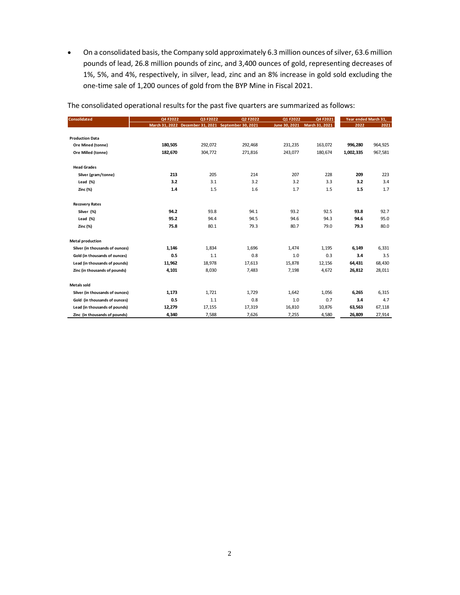• On a consolidated basis, the Company sold approximately 6.3 million ounces of silver, 63.6 million pounds of lead, 26.8 million pounds of zinc, and 3,400 ounces of gold, representing decreases of 1%, 5%, and 4%, respectively, in silver, lead, zinc and an 8% increase in gold sold excluding the one-time sale of 1,200 ounces of gold from the BYP Mine in Fiscal 2021.

| <b>Consolidated</b>             | Q4 F2022 | Q3 F2022 | Q2 F2022                                            | Q1 F2022 | Q4 F2021                     | Year ended March 31, |         |
|---------------------------------|----------|----------|-----------------------------------------------------|----------|------------------------------|----------------------|---------|
|                                 |          |          | March 31, 2022 December 31, 2021 September 30, 2021 |          | June 30, 2021 March 31, 2021 | 2022                 | 2021    |
|                                 |          |          |                                                     |          |                              |                      |         |
| <b>Production Data</b>          |          |          |                                                     |          |                              |                      |         |
| Ore Mined (tonne)               | 180,505  | 292,072  | 292,468                                             | 231,235  | 163,072                      | 996,280              | 964,925 |
| Ore Milled (tonne)              | 182,670  | 304,772  | 271,816                                             | 243,077  | 180,674                      | 1,002,335            | 967,581 |
| <b>Head Grades</b>              |          |          |                                                     |          |                              |                      |         |
| Silver (gram/tonne)             | 213      | 205      | 214                                                 | 207      | 228                          | 209                  | 223     |
| Lead (%)                        | 3.2      | 3.1      | 3.2                                                 | 3.2      | 3.3                          | 3.2                  | 3.4     |
| Zinc (%)                        | 1.4      | 1.5      | 1.6                                                 | 1.7      | 1.5                          | 1.5                  | 1.7     |
| <b>Recovery Rates</b>           |          |          |                                                     |          |                              |                      |         |
| Silver (%)                      | 94.2     | 93.8     | 94.1                                                | 93.2     | 92.5                         | 93.8                 | 92.7    |
| Lead $(\%)$                     | 95.2     | 94.4     | 94.5                                                | 94.6     | 94.3                         | 94.6                 | 95.0    |
| Zinc (%)                        | 75.8     | 80.1     | 79.3                                                | 80.7     | 79.0                         | 79.3                 | 80.0    |
| <b>Metal production</b>         |          |          |                                                     |          |                              |                      |         |
| Silver (in thousands of ounces) | 1,146    | 1,834    | 1,696                                               | 1,474    | 1,195                        | 6,149                | 6,331   |
| Gold (in thousands of ounces)   | 0.5      | 1.1      | 0.8                                                 | 1.0      | 0.3                          | 3.4                  | 3.5     |
| Lead (in thousands of pounds)   | 11,962   | 18,978   | 17,613                                              | 15,878   | 12,156                       | 64,431               | 68,430  |
| Zinc (in thousands of pounds)   | 4,101    | 8,030    | 7,483                                               | 7,198    | 4,672                        | 26,812               | 28,011  |
| <b>Metals sold</b>              |          |          |                                                     |          |                              |                      |         |
| Silver (in thousands of ounces) | 1,173    | 1,721    | 1.729                                               | 1,642    | 1,056                        | 6.265                | 6,315   |
| Gold (in thousands of ounces)   | 0.5      | 1.1      | 0.8                                                 | 1.0      | 0.7                          | 3.4                  | 4.7     |
| Lead (in thousands of pounds)   | 12,279   | 17,155   | 17,319                                              | 16,810   | 10,876                       | 63,563               | 67,118  |
| Zinc (in thousands of pounds)   | 4,340    | 7,588    | 7,626                                               | 7,255    | 4,580                        | 26,809               | 27,914  |

The consolidated operational results for the past five quarters are summarized as follows: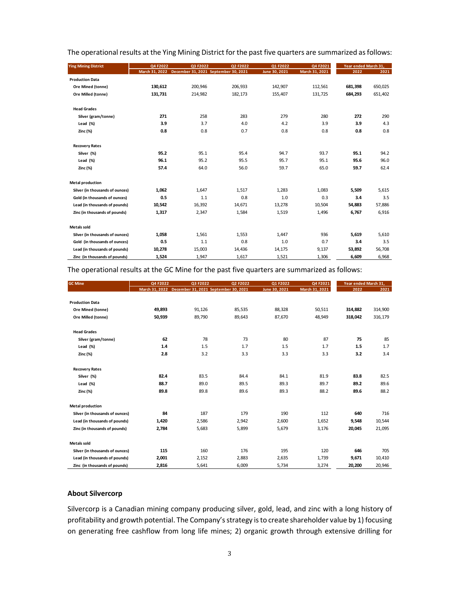| <b>Ying Mining District</b>     | Q4 F2022 | Q3 F2022                                            | Q2 F2022 | Q1 F2022      | Q4 F2021       | Year ended March 31, |         |
|---------------------------------|----------|-----------------------------------------------------|----------|---------------|----------------|----------------------|---------|
|                                 |          | March 31, 2022 December 31, 2021 September 30, 2021 |          | June 30, 2021 | March 31, 2021 | 2022                 | 2021    |
| <b>Production Data</b>          |          |                                                     |          |               |                |                      |         |
| Ore Mined (tonne)               | 130,612  | 200,946                                             | 206,933  | 142,907       | 112,561        | 681,398              | 650,025 |
| Ore Milled (tonne)              | 131,731  | 214,982                                             | 182,173  | 155,407       | 131,725        | 684,293              | 651,402 |
| <b>Head Grades</b>              |          |                                                     |          |               |                |                      |         |
| Silver (gram/tonne)             | 271      | 258                                                 | 283      | 279           | 280            | 272                  | 290     |
| Lead (%)                        | 3.9      | 3.7                                                 | 4.0      | 4.2           | 3.9            | 3.9                  | 4.3     |
| Zinc (%)                        | 0.8      | 0.8                                                 | 0.7      | 0.8           | 0.8            | 0.8                  | 0.8     |
| <b>Recovery Rates</b>           |          |                                                     |          |               |                |                      |         |
| Silver (%)                      | 95.2     | 95.1                                                | 95.4     | 94.7          | 93.7           | 95.1                 | 94.2    |
| Lead (%)                        | 96.1     | 95.2                                                | 95.5     | 95.7          | 95.1           | 95.6                 | 96.0    |
| Zinc (%)                        | 57.4     | 64.0                                                | 56.0     | 59.7          | 65.0           | 59.7                 | 62.4    |
| <b>Metal production</b>         |          |                                                     |          |               |                |                      |         |
| Silver (in thousands of ounces) | 1,062    | 1,647                                               | 1,517    | 1,283         | 1,083          | 5,509                | 5,615   |
| Gold (in thousands of ounces)   | 0.5      | 1.1                                                 | 0.8      | 1.0           | 0.3            | 3.4                  | 3.5     |
| Lead (in thousands of pounds)   | 10,542   | 16,392                                              | 14,671   | 13,278        | 10,504         | 54,883               | 57,886  |
| Zinc (in thousands of pounds)   | 1,317    | 2,347                                               | 1,584    | 1,519         | 1,496          | 6,767                | 6,916   |
| <b>Metals sold</b>              |          |                                                     |          |               |                |                      |         |
| Silver (in thousands of ounces) | 1.058    | 1,561                                               | 1,553    | 1,447         | 936            | 5,619                | 5,610   |
| Gold (in thousands of ounces)   | 0.5      | 1.1                                                 | 0.8      | 1.0           | 0.7            | 3.4                  | 3.5     |
| Lead (in thousands of pounds)   | 10,278   | 15,003                                              | 14,436   | 14,175        | 9,137          | 53,892               | 56,708  |
| Zinc (in thousands of pounds)   | 1,524    | 1,947                                               | 1,617    | 1,521         | 1,306          | 6,609                | 6,968   |

The operational results at the Ying Mining District for the past five quarters are summarized as follows:

#### The operational results at the GC Mine for the past five quarters are summarized as follows:

| <b>GC Mine</b>                  | Q4 F2022 | Q3 F2022                                            | Q2 F2022 | Q1 F2022      | Q4 F2021       | Year ended March 31, |         |
|---------------------------------|----------|-----------------------------------------------------|----------|---------------|----------------|----------------------|---------|
|                                 |          | March 31, 2022 December 31, 2021 September 30, 2021 |          | June 30, 2021 | March 31, 2021 | 2022                 | 2021    |
| <b>Production Data</b>          |          |                                                     |          |               |                |                      |         |
| Ore Mined (tonne)               | 49,893   | 91,126                                              | 85,535   | 88,328        | 50,511         | 314,882              | 314,900 |
| Ore Milled (tonne)              | 50,939   | 89,790                                              | 89,643   | 87,670        | 48,949         | 318,042              | 316,179 |
|                                 |          |                                                     |          |               |                |                      |         |
| <b>Head Grades</b>              |          |                                                     |          |               |                |                      |         |
| Silver (gram/tonne)             | 62       | 78                                                  | 73       | 80            | 87             | 75                   | 85      |
| Lead $(%)$                      | 1.4      | 1.5                                                 | 1.7      | 1.5           | 1.7            | 1.5                  | 1.7     |
| <b>Zinc (%)</b>                 | 2.8      | 3.2                                                 | 3.3      | 3.3           | 3.3            | 3.2                  | 3.4     |
|                                 |          |                                                     |          |               |                |                      |         |
| <b>Recovery Rates</b>           |          |                                                     |          |               |                |                      |         |
| Silver (%)                      | 82.4     | 83.5                                                | 84.4     | 84.1          | 81.9           | 83.8                 | 82.5    |
| Lead $(*)$                      | 88.7     | 89.0                                                | 89.5     | 89.3          | 89.7           | 89.2                 | 89.6    |
| Zinc (%)                        | 89.8     | 89.8                                                | 89.6     | 89.3          | 88.2           | 89.6                 | 88.2    |
| <b>Metal production</b>         |          |                                                     |          |               |                |                      |         |
| Silver (in thousands of ounces) | 84       | 187                                                 | 179      | 190           | 112            | 640                  | 716     |
| Lead (in thousands of pounds)   | 1,420    | 2,586                                               | 2,942    | 2,600         | 1,652          | 9,548                | 10,544  |
| Zinc (in thousands of pounds)   | 2,784    | 5,683                                               | 5,899    | 5,679         | 3,176          | 20,045               | 21,095  |
| <b>Metals sold</b>              |          |                                                     |          |               |                |                      |         |
| Silver (in thousands of ounces) | 115      | 160                                                 | 176      | 195           | 120            | 646                  | 705     |
| Lead (in thousands of pounds)   | 2,001    | 2,152                                               | 2,883    | 2,635         | 1,739          | 9,671                | 10,410  |
| Zinc (in thousands of pounds)   | 2,816    | 5,641                                               | 6,009    | 5,734         | 3,274          | 20,200               | 20,946  |

### **About Silvercorp**

Silvercorp is a Canadian mining company producing silver, gold, lead, and zinc with a long history of profitability and growth potential. The Company's strategy is to create shareholder value by 1) focusing on generating free cashflow from long life mines; 2) organic growth through extensive drilling for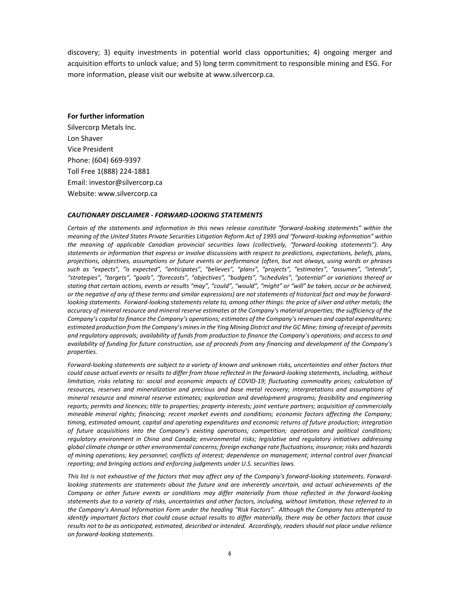discovery; 3) equity investments in potential world class opportunities; 4) ongoing merger and acquisition efforts to unlock value; and 5) long term commitment to responsible mining and ESG. For more information, please visit our website at [www.silvercorp.ca.](http://www.silvercorp.ca/)

#### **For further information**

Silvercorp Metals Inc. Lon Shaver Vice President Phone: (604) 669-9397 Toll Free 1(888) 224-1881 Email: investor@silvercorp.ca Website: www.silvercorp.ca

#### *CAUTIONARY DISCLAIMER - FORWARD-LOOKING STATEMENTS*

*Certain of the statements and information in this news release constitute "forward-looking statements" within the meaning of the United States Private Securities Litigation Reform Act of 1995 and "forward-looking information" within the meaning of applicable Canadian provincial securities laws (collectively, "forward-looking statements"). Any statements or information that express or involve discussions with respect to predictions, expectations, beliefs, plans, projections, objectives, assumptions or future events or performance (often, but not always, using words or phrases such as "expects", "is expected", "anticipates", "believes", "plans", "projects", "estimates", "assumes", "intends", "strategies", "targets", "goals", "forecasts", "objectives", "budgets", "schedules", "potential" or variations thereof or stating that certain actions, events or results "may", "could", "would", "might" or "will" be taken, occur or be achieved, or the negative of any of these terms and similar expressions) are not statements of historical fact and may be forward*looking statements. Forward-looking statements relate to, among other things: the price of silver and other metals; the *accuracy of mineral resource and mineral reserve estimates at the Company's material properties; the sufficiency of the Company's capital to finance the Company's operations; estimates of the Company's revenues and capital expenditures; estimated production from the Company's mines in the Ying Mining District and the GC Mine; timing of receipt of permits and regulatory approvals; availability of funds from production to finance the Company's operations; and access to and availability of funding for future construction, use of proceeds from any financing and development of the Company's properties.*

*Forward-looking statements are subject to a variety of known and unknown risks, uncertainties and other factors that could cause actual events or results to differ from those reflected in the forward-looking statements, including, without limitation, risks relating to: social and economic impacts of COVID-19; fluctuating commodity prices; calculation of* resources, reserves and mineralization and precious and base metal recovery; interpretations and assumptions of *mineral resource and mineral reserve estimates; exploration and development programs; feasibility and engineering reports; permits and licences; title to properties; property interests; joint venture partners; acquisition of commercially mineable mineral rights; financing; recent market events and conditions; economic factors affecting the Company;*  timing, estimated amount, capital and operating expenditures and economic returns of future production; integration *of future acquisitions into the Company's existing operations; competition; operations and political conditions; regulatory environment in China and Canada; environmental risks; legislative and regulatory initiatives addressing global climate change or other environmental concerns; foreign exchange rate fluctuations; insurance; risks and hazards of mining operations; key personnel; conflicts of interest; dependence on management; internal control over financial reporting; and bringing actions and enforcing judgments under U.S. securities laws.*

*This list is not exhaustive of the factors that may affect any of the Company's forward-looking statements. Forwardlooking statements are statements about the future and are inherently uncertain, and actual achievements of the Company or other future events or conditions may differ materially from those reflected in the forward-looking statements due to a variety of risks, uncertainties and other factors, including, without limitation, those referred to in the Company's Annual Information Form under the heading "Risk Factors". Although the Company has attempted to identify important factors that could cause actual results to differ materially, there may be other factors that cause results not to be as anticipated, estimated, described or intended. Accordingly, readers should not place undue reliance on forward-looking statements.*